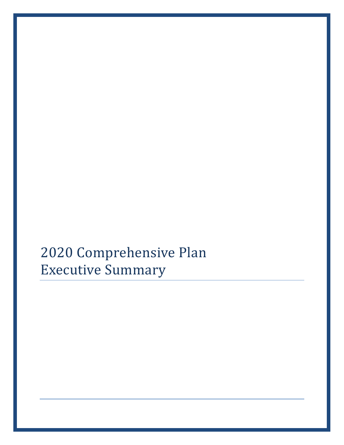2020 Comprehensive Plan Executive Summary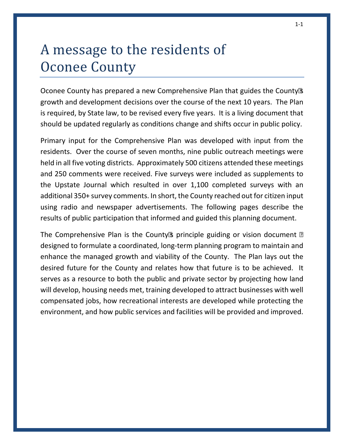# A message to the residents of Oconee County

Oconee County has prepared a new Comprehensive Plan that guides the County's growth and development decisions over the course of the next 10 years. The Plan is required, by State law, to be revised every five years. It is a living document that should be updated regularly as conditions change and shifts occur in public policy.

Primary input for the Comprehensive Plan was developed with input from the residents. Over the course of seven months, nine public outreach meetings were held in all five voting districts. Approximately 500 citizens attended these meetings and 250 comments were received. Five surveys were included as supplements to the Upstate Journal which resulted in over 1,100 completed surveys with an additional 350+ survey comments. In short, the County reached out for citizen input using radio and newspaper advertisements. The following pages describe the results of public participation that informed and guided this planning document.

The Comprehensive Plan is the County's principle guiding or vision document  $$ designed to formulate a coordinated, long-term planning program to maintain and enhance the managed growth and viability of the County. The Plan lays out the desired future for the County and relates how that future is to be achieved. It serves as a resource to both the public and private sector by projecting how land will develop, housing needs met, training developed to attract businesses with well compensated jobs, how recreational interests are developed while protecting the environment, and how public services and facilities will be provided and improved.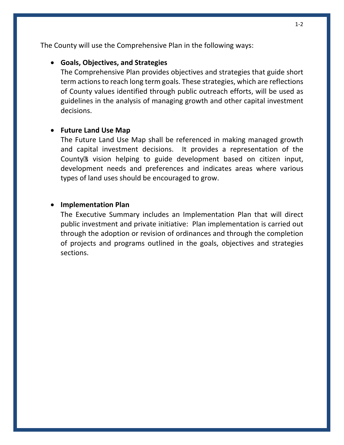The County will use the Comprehensive Plan in the following ways:

#### • **Goals, Objectives, and Strategies**

The Comprehensive Plan provides objectives and strategies that guide short term actions to reach long term goals. These strategies, which are reflections of County values identified through public outreach efforts, will be used as guidelines in the analysis of managing growth and other capital investment decisions.

#### • **Future Land Use Map**

The Future Land Use Map shall be referenced in making managed growth and capital investment decisions. It provides a representation of the County's vision helping to guide development based on citizen input, development needs and preferences and indicates areas where various types of land uses should be encouraged to grow.

#### • **Implementation Plan**

The Executive Summary includes an Implementation Plan that will direct public investment and private initiative: Plan implementation is carried out through the adoption or revision of ordinances and through the completion of projects and programs outlined in the goals, objectives and strategies sections.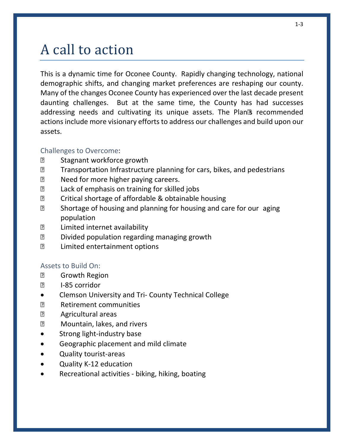# A call to action

This is a dynamic time for Oconee County. Rapidly changing technology, national demographic shifts, and changing market preferences are reshaping our county. Many of the changes Oconee County has experienced over the last decade present daunting challenges. But at the same time, the County has had successes addressing needs and cultivating its unique assets. The Plan's recommended actions include more visionary efforts to address our challenges and build upon our assets.

#### Challenges to Overcome:

- Stagnant workforce growth
- Transportation Infrastructure planning for cars, bikes, and pedestrians
- Need for more higher paying careers.
- Lack of emphasis on training for skilled jobs
- Critical shortage of affordable & obtainable housing
- Shortage of housing and planning for housing and care for our aging population
- Limited internet availability
- Divided population regarding managing growth
- Limited entertainment options

#### Assets to Build On:

- Growth Region
- I-85 corridor
- Clemson University and Tri- County Technical College
- Retirement communities
- Agricultural areas
- Mountain, lakes, and rivers
- Strong light-industry base
- Geographic placement and mild climate
- Quality tourist-areas
- Quality K-12 education
- Recreational activities biking, hiking, boating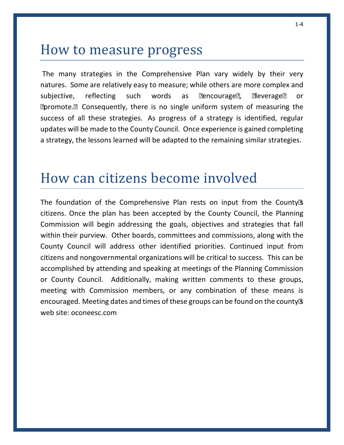### How to measure progress

The many strategies in the Comprehensive Plan vary widely by their very natures. Some are relatively easy to measure; while others are more complex and subjective, reflecting such words as "encourage", "leverage" or "promote." Consequently, there is no single uniform system of measuring the success of all these strategies. As progress of a strategy is identified, regular updates will be made to the County Council. Once experience is gained completing a strategy, the lessons learned will be adapted to the remaining similar strategies.

### How can citizens become involved

The foundation of the Comprehensive Plan rests on input from the County's citizens. Once the plan has been accepted by the County Council, the Planning Commission will begin addressing the goals, objectives and strategies that fall within their purview. Other boards, committees and commissions, along with the County Council will address other identified priorities. Continued input from citizens and nongovernmental organizations will be critical to success. This can be accomplished by attending and speaking at meetings of the Planning Commission or County Council. Additionally, making written comments to these groups, meeting with Commission members, or any combination of these means is encouraged. Meeting dates and times of these groups can be found on the county's web site: oconeesc.com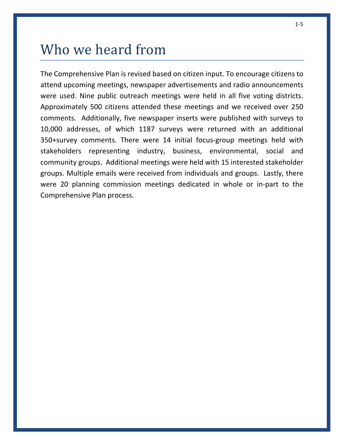## Who we heard from

The Comprehensive Plan is revised based on citizen input. To encourage citizens to attend upcoming meetings, newspaper advertisements and radio announcements were used. Nine public outreach meetings were held in all five voting districts. Approximately 500 citizens attended these meetings and we received over 250 comments. Additionally, five newspaper inserts were published with surveys to 10,000 addresses, of which 1187 surveys were returned with an additional 350+survey comments. There were 14 initial focus-group meetings held with stakeholders representing industry, business, environmental, social and community groups. Additional meetings were held with 15 interested stakeholder groups. Multiple emails were received from individuals and groups. Lastly, there were 20 planning commission meetings dedicated in whole or in-part to the Comprehensive Plan process.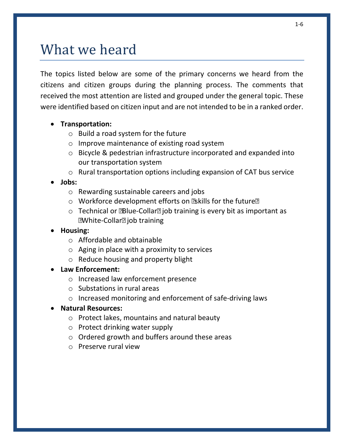### What we heard

The topics listed below are some of the primary concerns we heard from the citizens and citizen groups during the planning process. The comments that received the most attention are listed and grouped under the general topic. These were identified based on citizen input and are not intended to be in a ranked order.

#### • **Transportation:**

- $\circ$  Build a road system for the future
- o Improve maintenance of existing road system
- o Bicycle & pedestrian infrastructure incorporated and expanded into our transportation system
- o Rural transportation options including expansion of CAT bus service

#### • **Jobs:**

- o Rewarding sustainable careers and jobs
- o Workforce development efforts on "skills for the future"
- o Technical or "Blue-Collar" job training is every bit as important as "White-Collar" job training

#### • **Housing:**

- o Affordable and obtainable
- o Aging in place with a proximity to services
- o Reduce housing and property blight

#### • **Law Enforcement:**

- o Increased law enforcement presence
- o Substations in rural areas
- o Increased monitoring and enforcement of safe-driving laws

#### • **Natural Resources:**

- o Protect lakes, mountains and natural beauty
- o Protect drinking water supply
- o Ordered growth and buffers around these areas
- o Preserve rural view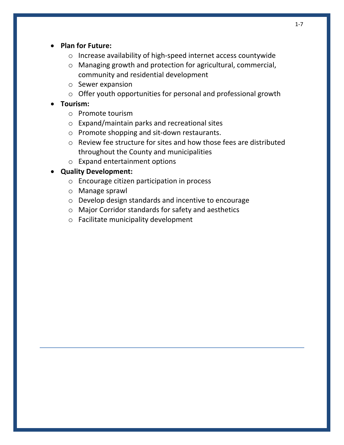- **Plan for Future:**
	- o Increase availability of high-speed internet access countywide
	- o Managing growth and protection for agricultural, commercial, community and residential development
	- o Sewer expansion
	- o Offer youth opportunities for personal and professional growth
- **Tourism:**
	- o Promote tourism
	- o Expand/maintain parks and recreational sites
	- o Promote shopping and sit-down restaurants.
	- o Review fee structure for sites and how those fees are distributed throughout the County and municipalities
	- o Expand entertainment options

#### • **Quality Development:**

- o Encourage citizen participation in process
- o Manage sprawl
- o Develop design standards and incentive to encourage
- o Major Corridor standards for safety and aesthetics
- o Facilitate municipality development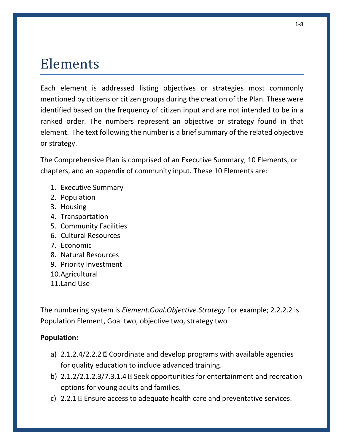### Elements

Each element is addressed listing objectives or strategies most commonly mentioned by citizens or citizen groups during the creation of the Plan. These were identified based on the frequency of citizen input and are not intended to be in a ranked order. The numbers represent an objective or strategy found in that element. The text following the number is a brief summary of the related objective or strategy.

The Comprehensive Plan is comprised of an Executive Summary, 10 Elements, or chapters, and an appendix of community input. These 10 Elements are:

- 1. Executive Summary
- 2. Population
- 3. Housing
- 4. Transportation
- 5. Community Facilities
- 6. Cultural Resources
- 7. Economic
- 8. Natural Resources
- 9. Priority Investment
- 10.Agricultural
- 11.Land Use

The numbering system is *Element.Goal.Objective.Strategy* For example; 2.2.2.2 is Population Element, Goal two, objective two, strategy two

#### **Population:**

- a) 2.1.2.4/2.2.2 Coordinate and develop programs with available agencies for quality education to include advanced training.
- b) 2.1.2/2.1.2.3/7.3.1.4 Seek opportunities for entertainment and recreation options for young adults and families.
- c) 2.2.1 Ensure access to adequate health care and preventative services.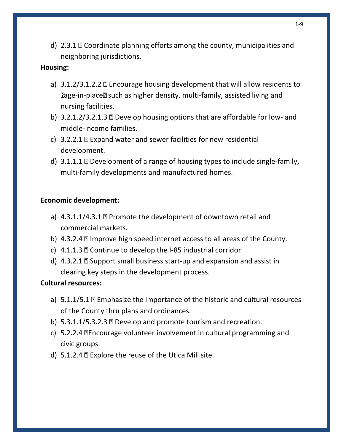d) 2.3.1 – Coordinate planning efforts among the county, municipalities and neighboring jurisdictions.

#### **Housing:**

- a) 3.1.2/3.1.2.2 Encourage housing development that will allow residents to "age-in-place" such as higher density, multi-family, assisted living and nursing facilities.
- b) 3.2.1.2/3.2.1.3 Develop housing options that are affordable for low- and middle-income families.
- c) 3.2.2.1 Expand water and sewer facilities for new residential development.
- d) 3.1.1.1 Development of a range of housing types to include single-family, multi-family developments and manufactured homes.

#### **Economic development:**

- a) 4.3.1.1/4.3.1 Promote the development of downtown retail and commercial markets.
- b) 4.3.2.4 Improve high speed internet access to all areas of the County.
- c) 4.1.1.3 Continue to develop the I-85 industrial corridor.
- d) 4.3.2.1 Support small business start-up and expansion and assist in clearing key steps in the development process.

#### **Cultural resources:**

- a) 5.1.1/5.1 Emphasize the importance of the historic and cultural resources of the County thru plans and ordinances.
- b) 5.3.1.1/5.3.2.3 Develop and promote tourism and recreation.
- c) 5.2.2.4 –Encourage volunteer involvement in cultural programming and civic groups.
- d) 5.1.2.4 Explore the reuse of the Utica Mill site.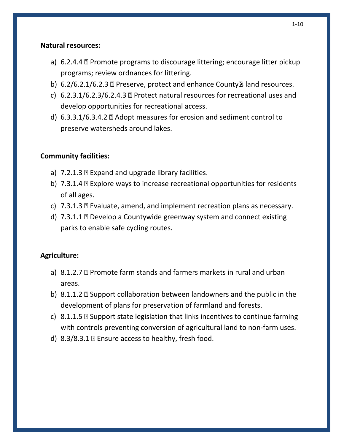#### **Natural resources:**

- a) 6.2.4.4 Promote programs to discourage littering; encourage litter pickup programs; review ordnances for littering.
- b) 6.2/6.2.1/6.2.3 Preserve, protect and enhance County's land resources.
- c) 6.2.3.1/6.2.3/6.2.4.3 Protect natural resources for recreational uses and develop opportunities for recreational access.
- d) 6.3.3.1/6.3.4.2 Adopt measures for erosion and sediment control to preserve watersheds around lakes.

#### **Community facilities:**

- a) 7.2.1.3 Expand and upgrade library facilities.
- b) 7.3.1.4 Explore ways to increase recreational opportunities for residents of all ages.
- c) 7.3.1.3 Evaluate, amend, and implement recreation plans as necessary.
- d) 7.3.1.1 Develop a Countywide greenway system and connect existing parks to enable safe cycling routes.

#### **Agriculture:**

- a) 8.1.2.7 Promote farm stands and farmers markets in rural and urban areas.
- b) 8.1.1.2 Support collaboration between landowners and the public in the development of plans for preservation of farmland and forests.
- c) 8.1.1.5 Support state legislation that links incentives to continue farming with controls preventing conversion of agricultural land to non-farm uses.
- d) 8.3/8.3.1 Ensure access to healthy, fresh food.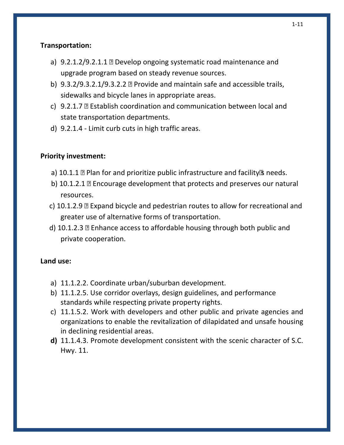#### **Transportation:**

- a) 9.2.1.2/9.2.1.1 Develop ongoing systematic road maintenance and upgrade program based on steady revenue sources.
- b) 9.3.2/9.3.2.1/9.3.2.2 Provide and maintain safe and accessible trails, sidewalks and bicycle lanes in appropriate areas.
- c) 9.2.1.7 Establish coordination and communication between local and state transportation departments.
- d) 9.2.1.4 Limit curb cuts in high traffic areas.

#### **Priority investment:**

- a) 10.1.1 Plan for and prioritize public infrastructure and facility's needs.
- b) 10.1.2.1 Encourage development that protects and preserves our natural resources.
- c) 10.1.2.9 Expand bicycle and pedestrian routes to allow for recreational and greater use of alternative forms of transportation.
- d) 10.1.2.3 Enhance access to affordable housing through both public and private cooperation.

#### **Land use:**

- a) 11.1.2.2. Coordinate urban/suburban development.
- b) 11.1.2.5. Use corridor overlays, design guidelines, and performance standards while respecting private property rights.
- c) 11.1.5.2. Work with developers and other public and private agencies and organizations to enable the revitalization of dilapidated and unsafe housing in declining residential areas.
- **d)** 11.1.4.3. Promote development consistent with the scenic character of S.C. Hwy. 11.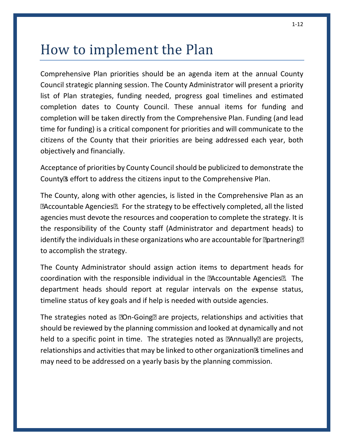## How to implement the Plan

Comprehensive Plan priorities should be an agenda item at the annual County Council strategic planning session. The County Administrator will present a priority list of Plan strategies, funding needed, progress goal timelines and estimated completion dates to County Council. These annual items for funding and completion will be taken directly from the Comprehensive Plan. Funding (and lead time for funding) is a critical component for priorities and will communicate to the citizens of the County that their priorities are being addressed each year, both objectively and financially.

Acceptance of priorities by County Council should be publicized to demonstrate the County's effort to address the citizens input to the Comprehensive Plan.

The County, along with other agencies, is listed in the Comprehensive Plan as an "Accountable Agencies". For the strategy to be effectively completed, all the listed agencies must devote the resources and cooperation to complete the strategy. It is the responsibility of the County staff (Administrator and department heads) to identify the individuals in these organizations who are accountable for "partnering" to accomplish the strategy.

The County Administrator should assign action items to department heads for coordination with the responsible individual in the "Accountable Agencies". The department heads should report at regular intervals on the expense status, timeline status of key goals and if help is needed with outside agencies.

The strategies noted as "On-Going" are projects, relationships and activities that should be reviewed by the planning commission and looked at dynamically and not held to a specific point in time. The strategies noted as "Annually" are projects, relationships and activities that may be linked to other organization's timelines and may need to be addressed on a yearly basis by the planning commission.